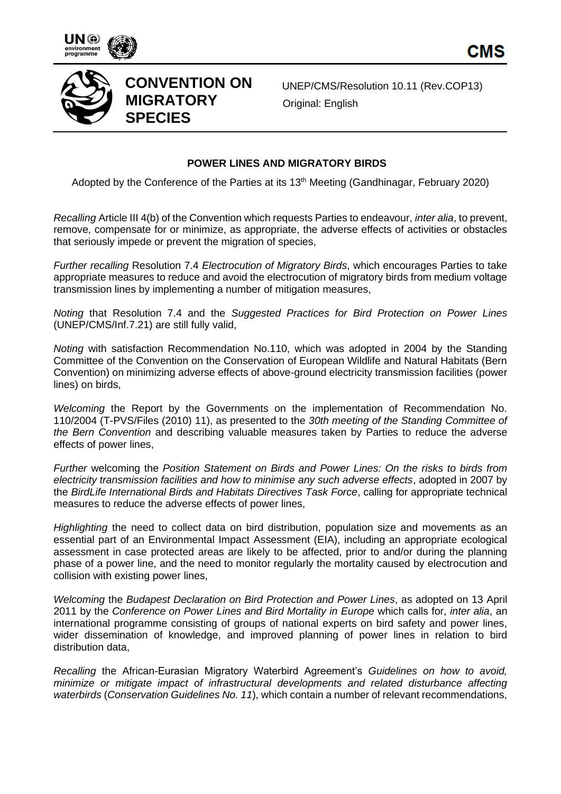





UNEP/CMS/Resolution 10.11 (Rev.COP13) Original: English

## **POWER LINES AND MIGRATORY BIRDS**

Adopted by the Conference of the Parties at its 13<sup>th</sup> Meeting (Gandhinagar, February 2020)

*Recalling* Article III 4(b) of the Convention which requests Parties to endeavour, *inter alia*, to prevent, remove, compensate for or minimize, as appropriate, the adverse effects of activities or obstacles that seriously impede or prevent the migration of species,

*Further recalling* Resolution 7.4 *Electrocution of Migratory Birds*, which encourages Parties to take appropriate measures to reduce and avoid the electrocution of migratory birds from medium voltage transmission lines by implementing a number of mitigation measures,

*Noting* that Resolution 7.4 and the *Suggested Practices for Bird Protection on Power Lines* (UNEP/CMS/Inf.7.21) are still fully valid,

*Noting* with satisfaction Recommendation No.110, which was adopted in 2004 by the Standing Committee of the Convention on the Conservation of European Wildlife and Natural Habitats (Bern Convention) on minimizing adverse effects of above-ground electricity transmission facilities (power lines) on birds,

*Welcoming* the Report by the Governments on the implementation of Recommendation No. 110/2004 (T-PVS/Files (2010) 11), as presented to the *30th meeting of the Standing Committee of the Bern Convention* and describing valuable measures taken by Parties to reduce the adverse effects of power lines,

*Further* welcoming the *Position Statement on Birds and Power Lines: On the risks to birds from electricity transmission facilities and how to minimise any such adverse effects*, adopted in 2007 by the *BirdLife International Birds and Habitats Directives Task Force*, calling for appropriate technical measures to reduce the adverse effects of power lines,

*Highlighting* the need to collect data on bird distribution, population size and movements as an essential part of an Environmental Impact Assessment (EIA), including an appropriate ecological assessment in case protected areas are likely to be affected, prior to and/or during the planning phase of a power line, and the need to monitor regularly the mortality caused by electrocution and collision with existing power lines,

*Welcoming* the *Budapest Declaration on Bird Protection and Power Lines*, as adopted on 13 April 2011 by the *Conference on Power Lines and Bird Mortality in Europe* which calls for, *inter alia*, an international programme consisting of groups of national experts on bird safety and power lines, wider dissemination of knowledge, and improved planning of power lines in relation to bird distribution data,

*Recalling* the African-Eurasian Migratory Waterbird Agreement's *Guidelines on how to avoid, minimize or mitigate impact of infrastructural developments and related disturbance affecting waterbirds* (*Conservation Guidelines No. 11*), which contain a number of relevant recommendations,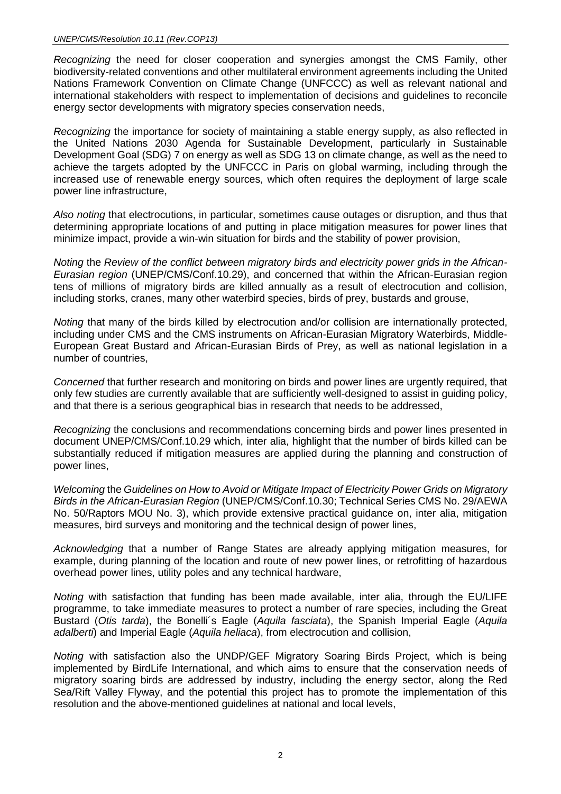*Recognizing* the need for closer cooperation and synergies amongst the CMS Family, other biodiversity-related conventions and other multilateral environment agreements including the United Nations Framework Convention on Climate Change (UNFCCC) as well as relevant national and international stakeholders with respect to implementation of decisions and guidelines to reconcile energy sector developments with migratory species conservation needs,

*Recognizing* the importance for society of maintaining a stable energy supply, as also reflected in the United Nations 2030 Agenda for Sustainable Development, particularly in Sustainable Development Goal (SDG) 7 on energy as well as SDG 13 on climate change, as well as the need to achieve the targets adopted by the UNFCCC in Paris on global warming, including through the increased use of renewable energy sources, which often requires the deployment of large scale power line infrastructure,

*Also noting* that electrocutions, in particular, sometimes cause outages or disruption, and thus that determining appropriate locations of and putting in place mitigation measures for power lines that minimize impact, provide a win-win situation for birds and the stability of power provision,

*Noting* the *Review of the conflict between migratory birds and electricity power grids in the African-Eurasian region* (UNEP/CMS/Conf.10.29), and concerned that within the African-Eurasian region tens of millions of migratory birds are killed annually as a result of electrocution and collision, including storks, cranes, many other waterbird species, birds of prey, bustards and grouse,

*Noting* that many of the birds killed by electrocution and/or collision are internationally protected, including under CMS and the CMS instruments on African-Eurasian Migratory Waterbirds, Middle-European Great Bustard and African-Eurasian Birds of Prey, as well as national legislation in a number of countries,

*Concerned* that further research and monitoring on birds and power lines are urgently required, that only few studies are currently available that are sufficiently well-designed to assist in guiding policy, and that there is a serious geographical bias in research that needs to be addressed,

*Recognizing* the conclusions and recommendations concerning birds and power lines presented in document UNEP/CMS/Conf.10.29 which, inter alia, highlight that the number of birds killed can be substantially reduced if mitigation measures are applied during the planning and construction of power lines,

*Welcoming* the *Guidelines on How to Avoid or Mitigate Impact of Electricity Power Grids on Migratory Birds in the African-Eurasian Region* (UNEP/CMS/Conf.10.30; Technical Series CMS No. 29/AEWA No. 50/Raptors MOU No. 3), which provide extensive practical guidance on, inter alia, mitigation measures, bird surveys and monitoring and the technical design of power lines,

*Acknowledging* that a number of Range States are already applying mitigation measures, for example, during planning of the location and route of new power lines, or retrofitting of hazardous overhead power lines, utility poles and any technical hardware,

*Noting* with satisfaction that funding has been made available, inter alia, through the EU/LIFE programme, to take immediate measures to protect a number of rare species, including the Great Bustard (*Otis tarda*), the Bonelli´s Eagle (*Aquila fasciata*), the Spanish Imperial Eagle (*Aquila adalberti*) and Imperial Eagle (*Aquila heliaca*), from electrocution and collision,

*Noting* with satisfaction also the UNDP/GEF Migratory Soaring Birds Project, which is being implemented by BirdLife International, and which aims to ensure that the conservation needs of migratory soaring birds are addressed by industry, including the energy sector, along the Red Sea/Rift Valley Flyway, and the potential this project has to promote the implementation of this resolution and the above-mentioned guidelines at national and local levels,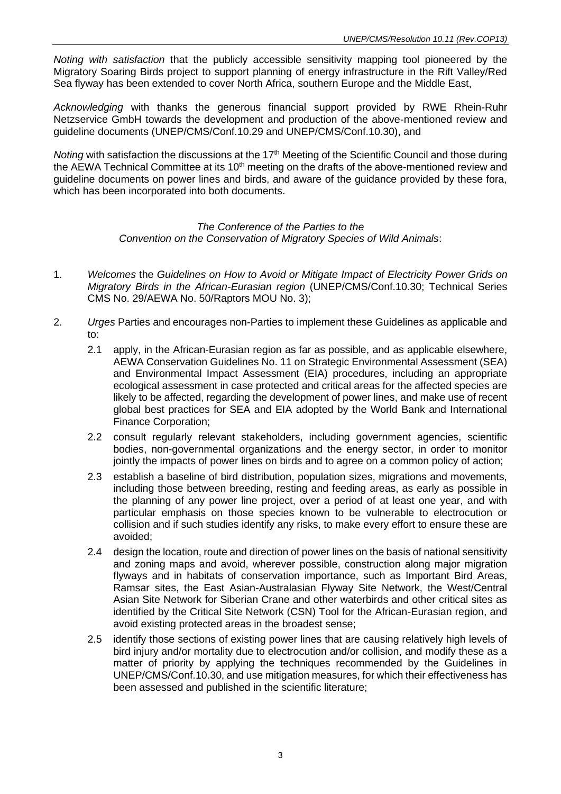*Noting with satisfaction* that the publicly accessible sensitivity mapping tool pioneered by the Migratory Soaring Birds project to support planning of energy infrastructure in the Rift Valley/Red Sea flyway has been extended to cover North Africa, southern Europe and the Middle East,

*Acknowledging* with thanks the generous financial support provided by RWE Rhein-Ruhr Netzservice GmbH towards the development and production of the above-mentioned review and guideline documents (UNEP/CMS/Conf.10.29 and UNEP/CMS/Conf.10.30), and

*Noting* with satisfaction the discussions at the 17<sup>th</sup> Meeting of the Scientific Council and those during the AEWA Technical Committee at its 10<sup>th</sup> meeting on the drafts of the above-mentioned review and guideline documents on power lines and birds, and aware of the guidance provided by these fora, which has been incorporated into both documents.

## *The Conference of the Parties to the Convention on the Conservation of Migratory Species of Wild Animals*:

- 1. *Welcomes* the *Guidelines on How to Avoid or Mitigate Impact of Electricity Power Grids on Migratory Birds in the African-Eurasian region* (UNEP/CMS/Conf.10.30; Technical Series CMS No. 29/AEWA No. 50/Raptors MOU No. 3);
- 2. *Urges* Parties and encourages non-Parties to implement these Guidelines as applicable and to:
	- 2.1 apply, in the African-Eurasian region as far as possible, and as applicable elsewhere, AEWA Conservation Guidelines No. 11 on Strategic Environmental Assessment (SEA) and Environmental Impact Assessment (EIA) procedures, including an appropriate ecological assessment in case protected and critical areas for the affected species are likely to be affected, regarding the development of power lines, and make use of recent global best practices for SEA and EIA adopted by the World Bank and International Finance Corporation;
	- 2.2 consult regularly relevant stakeholders, including government agencies, scientific bodies, non-governmental organizations and the energy sector, in order to monitor jointly the impacts of power lines on birds and to agree on a common policy of action;
	- 2.3 establish a baseline of bird distribution, population sizes, migrations and movements, including those between breeding, resting and feeding areas, as early as possible in the planning of any power line project, over a period of at least one year, and with particular emphasis on those species known to be vulnerable to electrocution or collision and if such studies identify any risks, to make every effort to ensure these are avoided;
	- 2.4 design the location, route and direction of power lines on the basis of national sensitivity and zoning maps and avoid, wherever possible, construction along major migration flyways and in habitats of conservation importance, such as Important Bird Areas, Ramsar sites, the East Asian-Australasian Flyway Site Network, the West/Central Asian Site Network for Siberian Crane and other waterbirds and other critical sites as identified by the Critical Site Network (CSN) Tool for the African-Eurasian region, and avoid existing protected areas in the broadest sense;
	- 2.5 identify those sections of existing power lines that are causing relatively high levels of bird injury and/or mortality due to electrocution and/or collision, and modify these as a matter of priority by applying the techniques recommended by the Guidelines in UNEP/CMS/Conf.10.30, and use mitigation measures, for which their effectiveness has been assessed and published in the scientific literature;